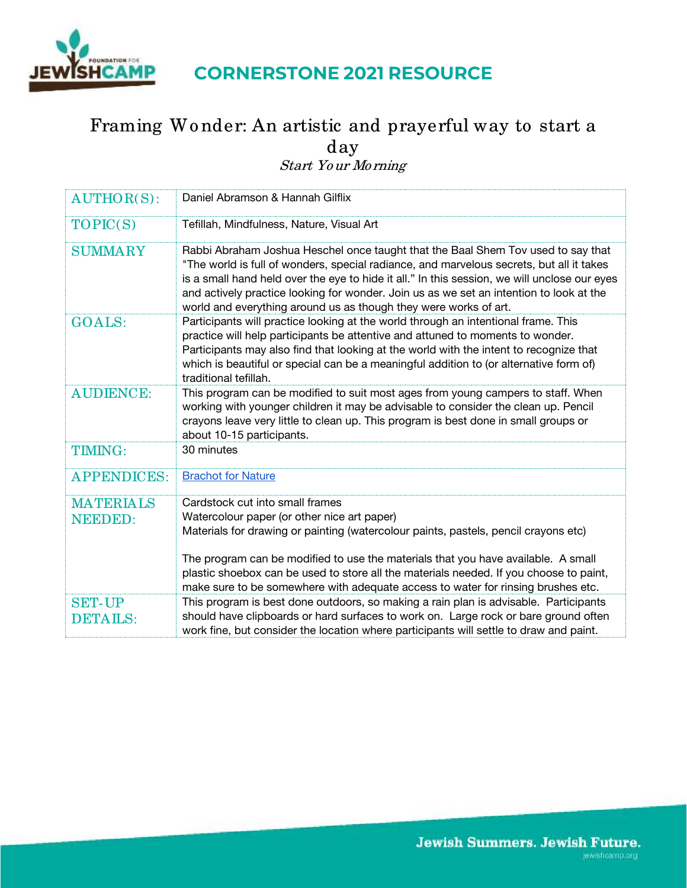

## **CORNERSTONE 2021 RESOURCE**

## Framing Wo nder: An artistic and prayerful way to start a day

Start Yo ur Mo rning

| <b>AUTHOR(S):</b>                  | Daniel Abramson & Hannah Gilflix                                                                                                                                                                                                                                                                                                                                                                                                            |
|------------------------------------|---------------------------------------------------------------------------------------------------------------------------------------------------------------------------------------------------------------------------------------------------------------------------------------------------------------------------------------------------------------------------------------------------------------------------------------------|
| TOPIC(S)                           | Tefillah, Mindfulness, Nature, Visual Art                                                                                                                                                                                                                                                                                                                                                                                                   |
| <b>SUMMARY</b>                     | Rabbi Abraham Joshua Heschel once taught that the Baal Shem Tov used to say that<br>"The world is full of wonders, special radiance, and marvelous secrets, but all it takes<br>is a small hand held over the eye to hide it all." In this session, we will unclose our eyes<br>and actively practice looking for wonder. Join us as we set an intention to look at the<br>world and everything around us as though they were works of art. |
| <b>GOALS:</b>                      | Participants will practice looking at the world through an intentional frame. This<br>practice will help participants be attentive and attuned to moments to wonder.<br>Participants may also find that looking at the world with the intent to recognize that<br>which is beautiful or special can be a meaningful addition to (or alternative form of)<br>traditional tefillah.                                                           |
| <b>AUDIENCE:</b>                   | This program can be modified to suit most ages from young campers to staff. When<br>working with younger children it may be advisable to consider the clean up. Pencil<br>crayons leave very little to clean up. This program is best done in small groups or<br>about 10-15 participants.                                                                                                                                                  |
| <b>TIMING:</b>                     | 30 minutes                                                                                                                                                                                                                                                                                                                                                                                                                                  |
| <b>APPENDICES:</b>                 | <b>Brachot for Nature</b>                                                                                                                                                                                                                                                                                                                                                                                                                   |
| <b>MATERIALS</b><br><b>NEEDED:</b> | Cardstock cut into small frames<br>Watercolour paper (or other nice art paper)<br>Materials for drawing or painting (watercolour paints, pastels, pencil crayons etc)<br>The program can be modified to use the materials that you have available. A small<br>plastic shoebox can be used to store all the materials needed. If you choose to paint,<br>make sure to be somewhere with adequate access to water for rinsing brushes etc.    |
| <b>SET-UP</b><br><b>DETAILS:</b>   | This program is best done outdoors, so making a rain plan is advisable. Participants<br>should have clipboards or hard surfaces to work on. Large rock or bare ground often<br>work fine, but consider the location where participants will settle to draw and paint.                                                                                                                                                                       |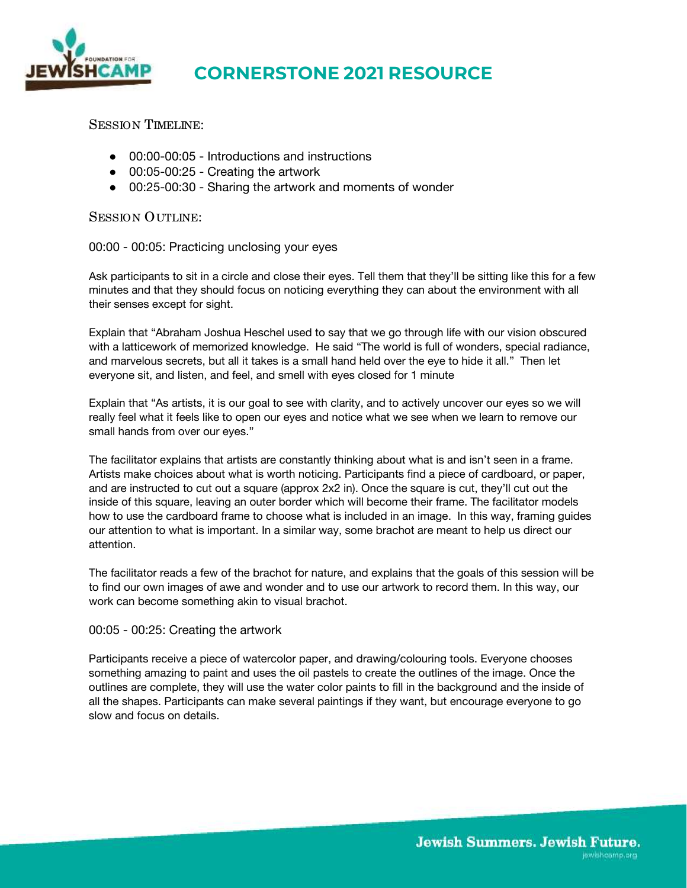

## **CORNERSTONE 2021 RESOURCE**

SESSION TIMELINE:

- 00:00-00:05 Introductions and instructions
- 00:05-00:25 Creating the artwork
- 00:25-00:30 Sharing the artwork and moments of wonder

SESSION OUTLINE:

00:00 - 00:05: Practicing unclosing your eyes

Ask participants to sit in a circle and close their eyes. Tell them that they'll be sitting like this for a few minutes and that they should focus on noticing everything they can about the environment with all their senses except for sight.

Explain that "Abraham Joshua Heschel used to say that we go through life with our vision obscured with a latticework of memorized knowledge. He said "The world is full of wonders, special radiance, and marvelous secrets, but all it takes is a small hand held over the eye to hide it all." Then let everyone sit, and listen, and feel, and smell with eyes closed for 1 minute

Explain that "As artists, it is our goal to see with clarity, and to actively uncover our eyes so we will really feel what it feels like to open our eyes and notice what we see when we learn to remove our small hands from over our eyes."

The facilitator explains that artists are constantly thinking about what is and isn't seen in a frame. Artists make choices about what is worth noticing. Participants find a piece of cardboard, or paper, and are instructed to cut out a square (approx 2x2 in). Once the square is cut, they'll cut out the inside of this square, leaving an outer border which will become their frame. The facilitator models how to use the cardboard frame to choose what is included in an image. In this way, framing guides our attention to what is important. In a similar way, some brachot are meant to help us direct our attention.

The facilitator reads a few of the brachot for nature, and explains that the goals of this session will be to find our own images of awe and wonder and to use our artwork to record them. In this way, our work can become something akin to visual brachot.

00:05 - 00:25: Creating the artwork

Participants receive a piece of watercolor paper, and drawing/colouring tools. Everyone chooses something amazing to paint and uses the oil pastels to create the outlines of the image. Once the outlines are complete, they will use the water color paints to fill in the background and the inside of all the shapes. Participants can make several paintings if they want, but encourage everyone to go slow and focus on details.